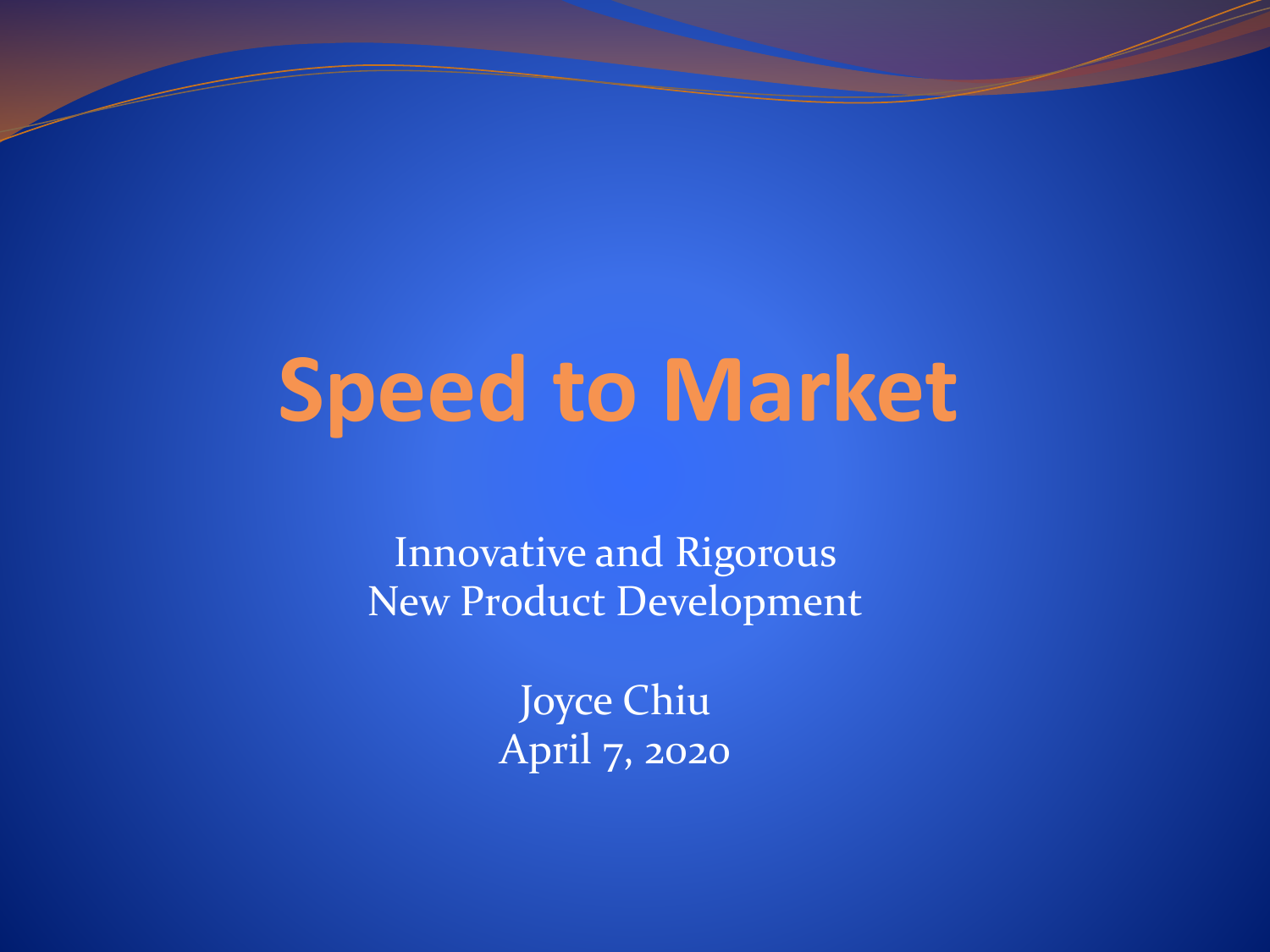# **Speed to Market**

Innovative and Rigorous New Product Development

> Joyce Chiu April 7, 2020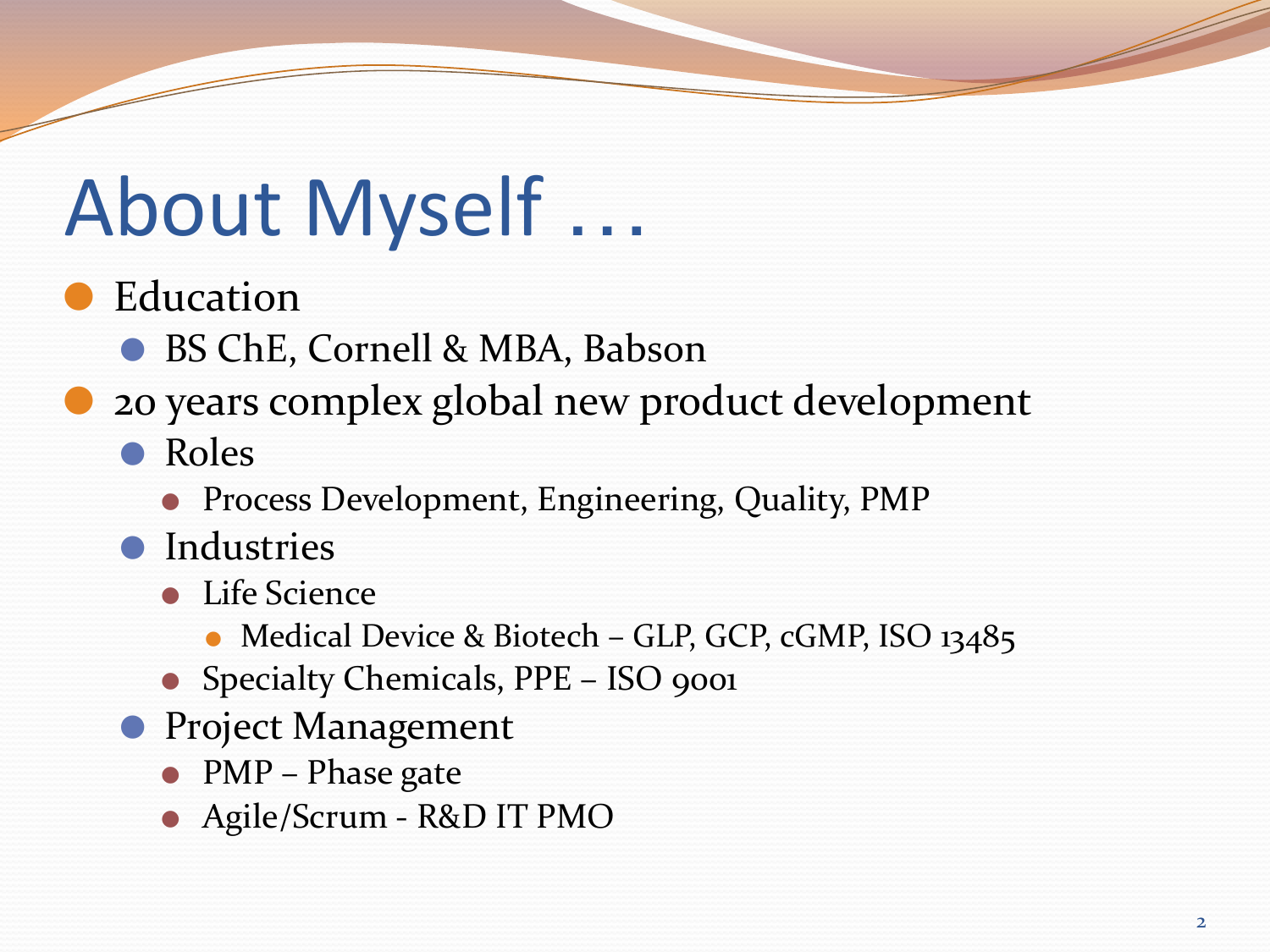## About Myself …

**Education** 

● BS ChE, Cornell & MBA, Babson

⚫ 20 years complex global new product development

⚫ Roles

⚫ Process Development, Engineering, Quality, PMP

⚫ Industries

⚫ Life Science

● Medical Device & Biotech – GLP, GCP, cGMP, ISO 13485

- Specialty Chemicals, PPE ISO 9001
- Project Management
	- PMP Phase gate
	- ⚫ Agile/Scrum R&D IT PMO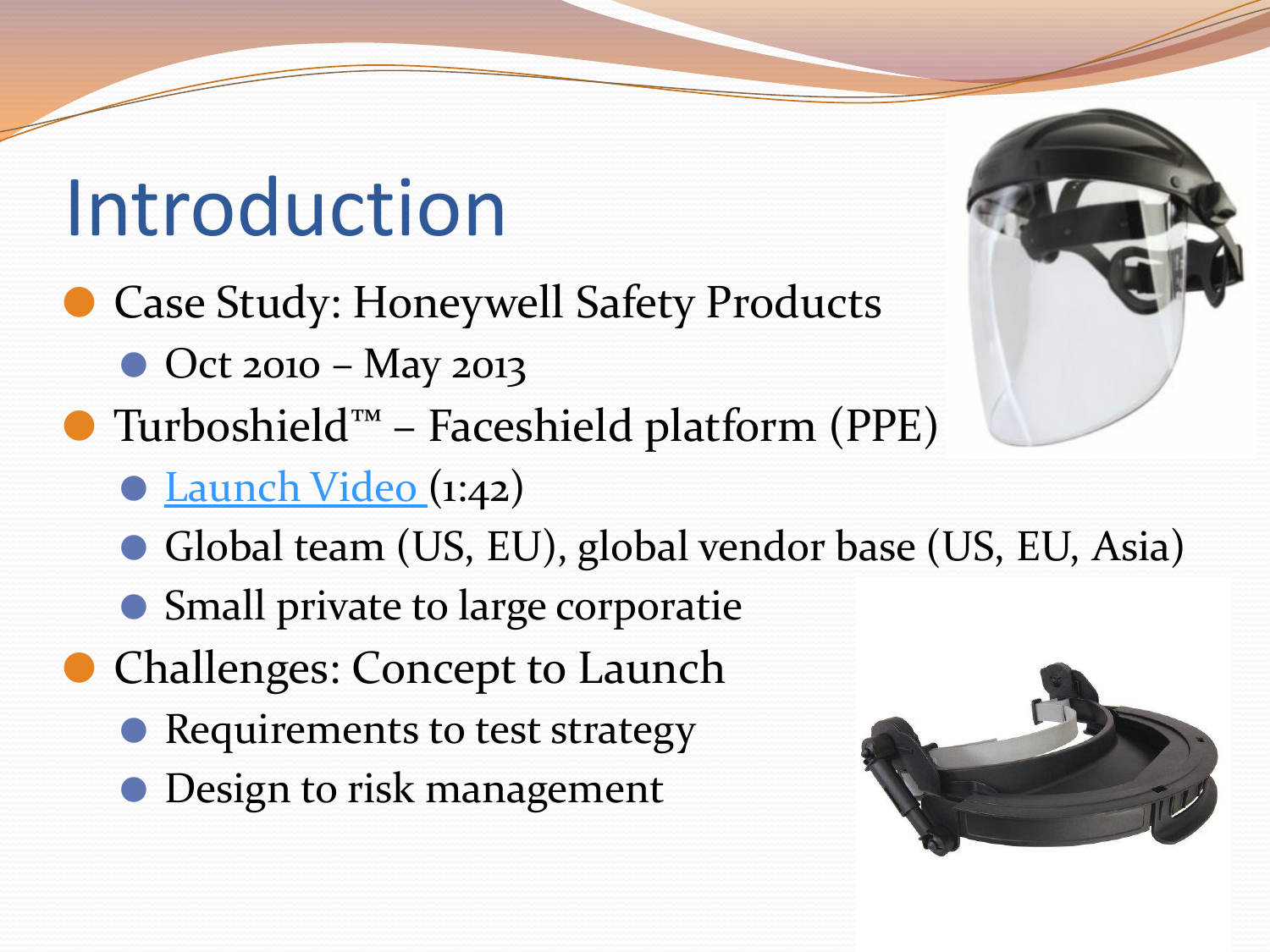### Introduction

- Case Study: Honeywell Safety Products
	- Oct 2010 May 2013
- ⚫ Turboshield™ Faceshield platform (PPE)
	- ⚫ [Launch Video \(](http://www.addventures.com/work/changing-the-face-of-safety)1:42)
	- Global team (US, EU), global vendor base (US, EU, Asia)
	- ⚫ Small private to large corporatie
- Challenges: Concept to Launch
	- Requirements to test strategy
	- Design to risk management

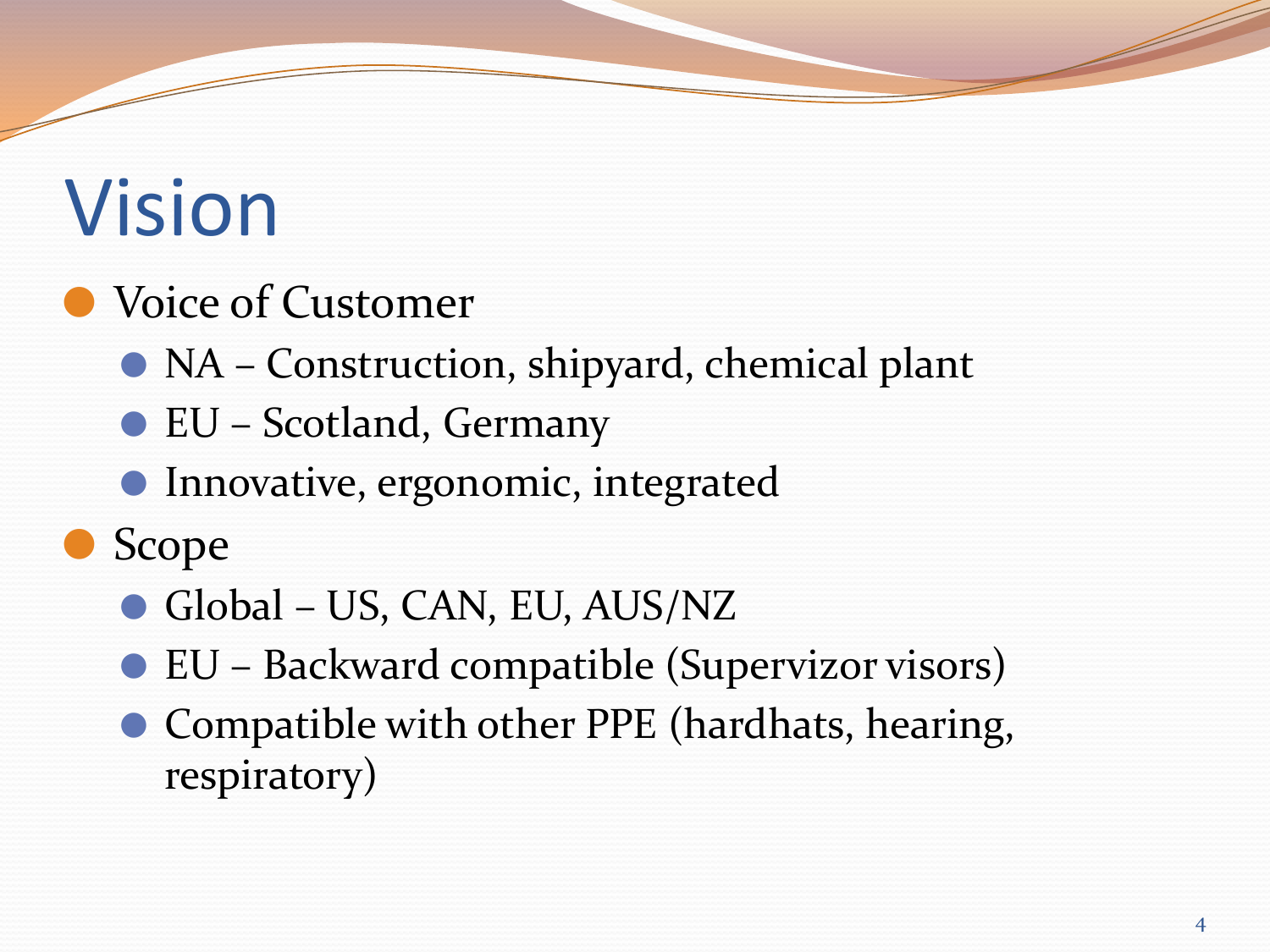## Vision

### ● Voice of Customer

- NA Construction, shipyard, chemical plant
- EU Scotland, Germany
- Innovative, ergonomic, integrated
- ⚫ Scope
	- Global US, CAN, EU, AUS/NZ
	- EU Backward compatible (Supervizor visors)
	- Compatible with other PPE (hardhats, hearing, respiratory)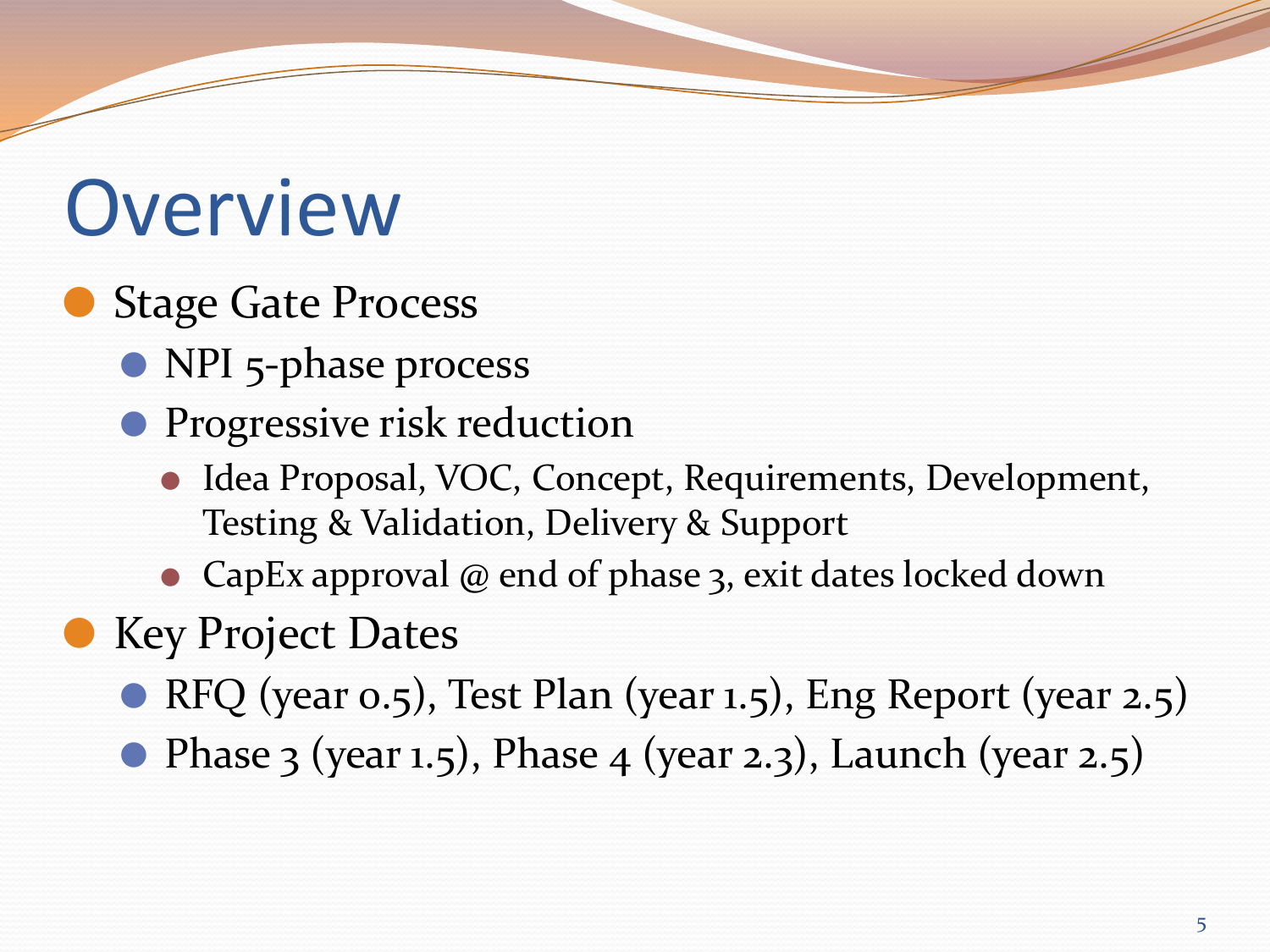### **Overview**

- Stage Gate Process
	- NPI 5-phase process
	- Progressive risk reduction
		- Idea Proposal, VOC, Concept, Requirements, Development, Testing & Validation, Delivery & Support
		- ⚫ CapEx approval @ end of phase 3, exit dates locked down
- Key Project Dates
	- RFQ (year 0.5), Test Plan (year 1.5), Eng Report (year 2.5)
	- $\bullet$  Phase 3 (year 1.5), Phase 4 (year 2.3), Launch (year 2.5)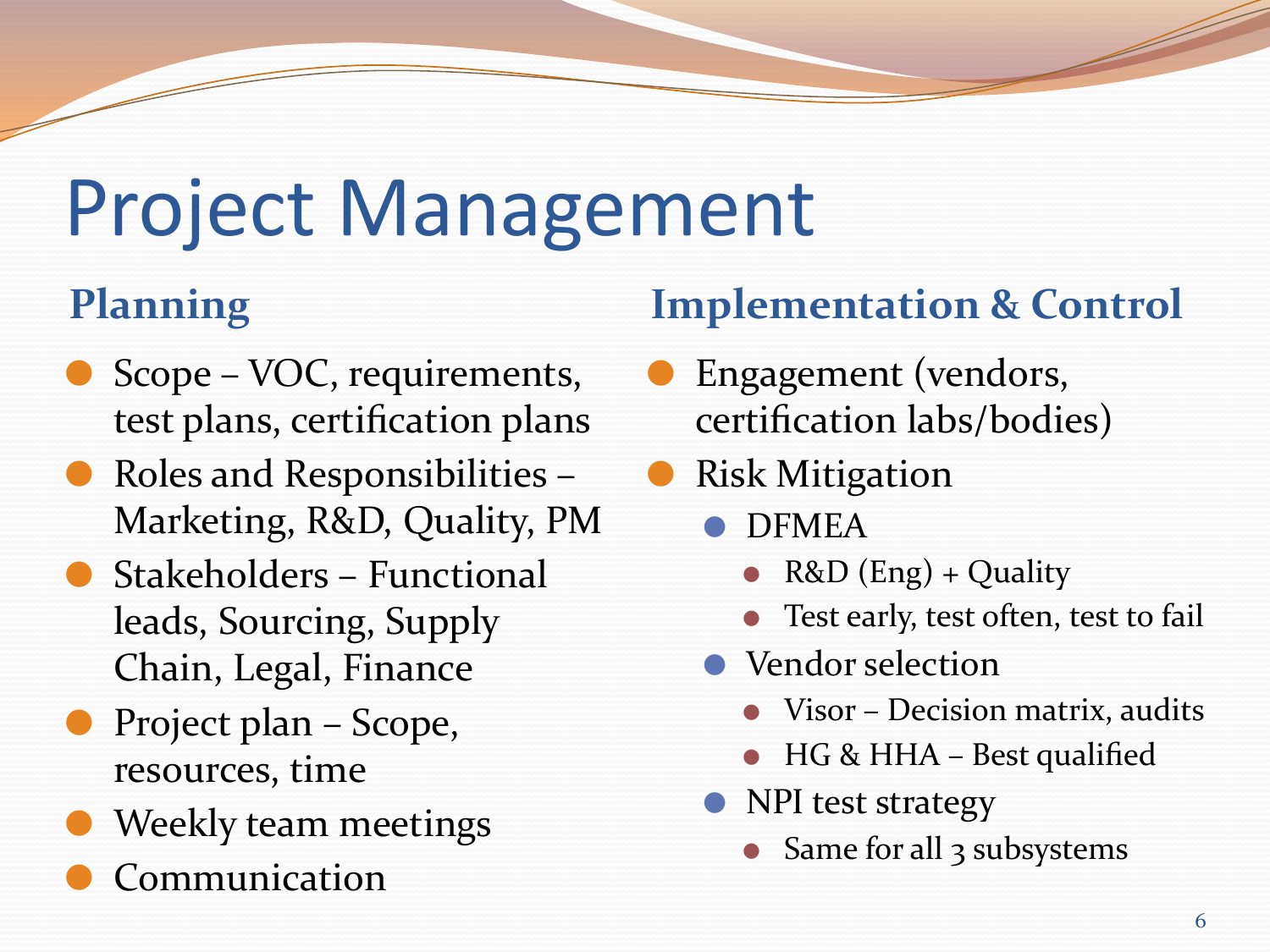## Project Management

- Scope VOC, requirements, test plans, certification plans
- ⚫ Roles and Responsibilities Marketing, R&D, Quality, PM
- ⚫ Stakeholders Functional leads, Sourcing, Supply Chain, Legal, Finance
- ⚫ Project plan Scope, resources, time
- ⚫ Weekly team meetings
- **Communication**

### **Planning Implementation & Control**

- ⚫ Engagement (vendors, certification labs/bodies)
- ⚫ Risk Mitigation
	- ⚫ DFMEA
		- R&D  $(Eng) + Quality$
		- Test early, test often, test to fail
	- Vendor selection
		- ⚫ Visor Decision matrix, audits
		- ⚫ HG & HHA Best qualified
	- ⚫ NPI test strategy
		- Same for all 3 subsystems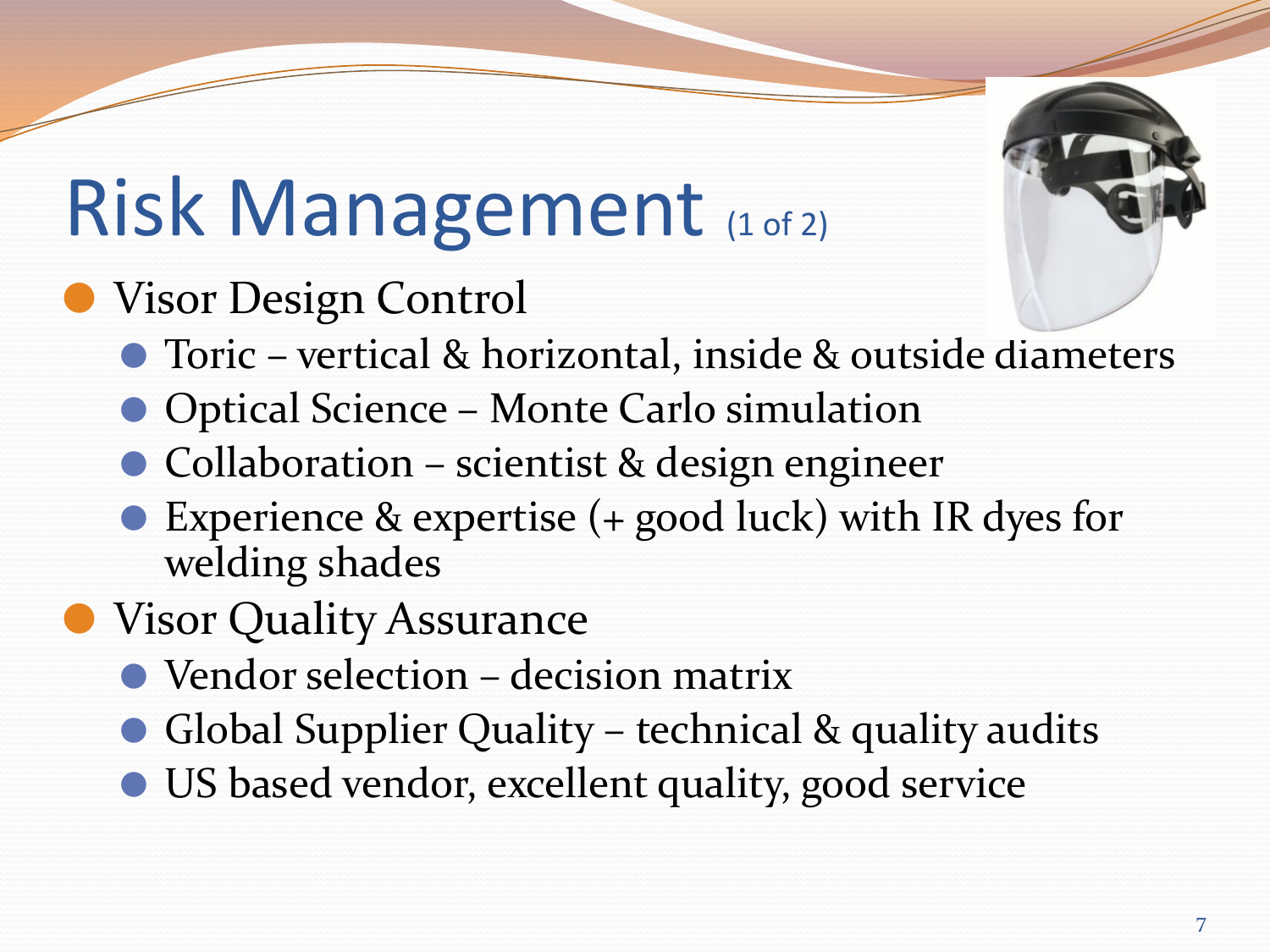## Risk Management (1 of 2)

### ⚫ Visor Design Control

- Toric vertical & horizontal, inside & outside diameters
- Optical Science Monte Carlo simulation
- Collaboration scientist & design engineer
- Experience & expertise (+ good luck) with IR dyes for welding shades
- **Visor Quality Assurance** 
	- Vendor selection decision matrix
	- ⚫ Global Supplier Quality technical & quality audits
	- ⚫ US based vendor, excellent quality, good service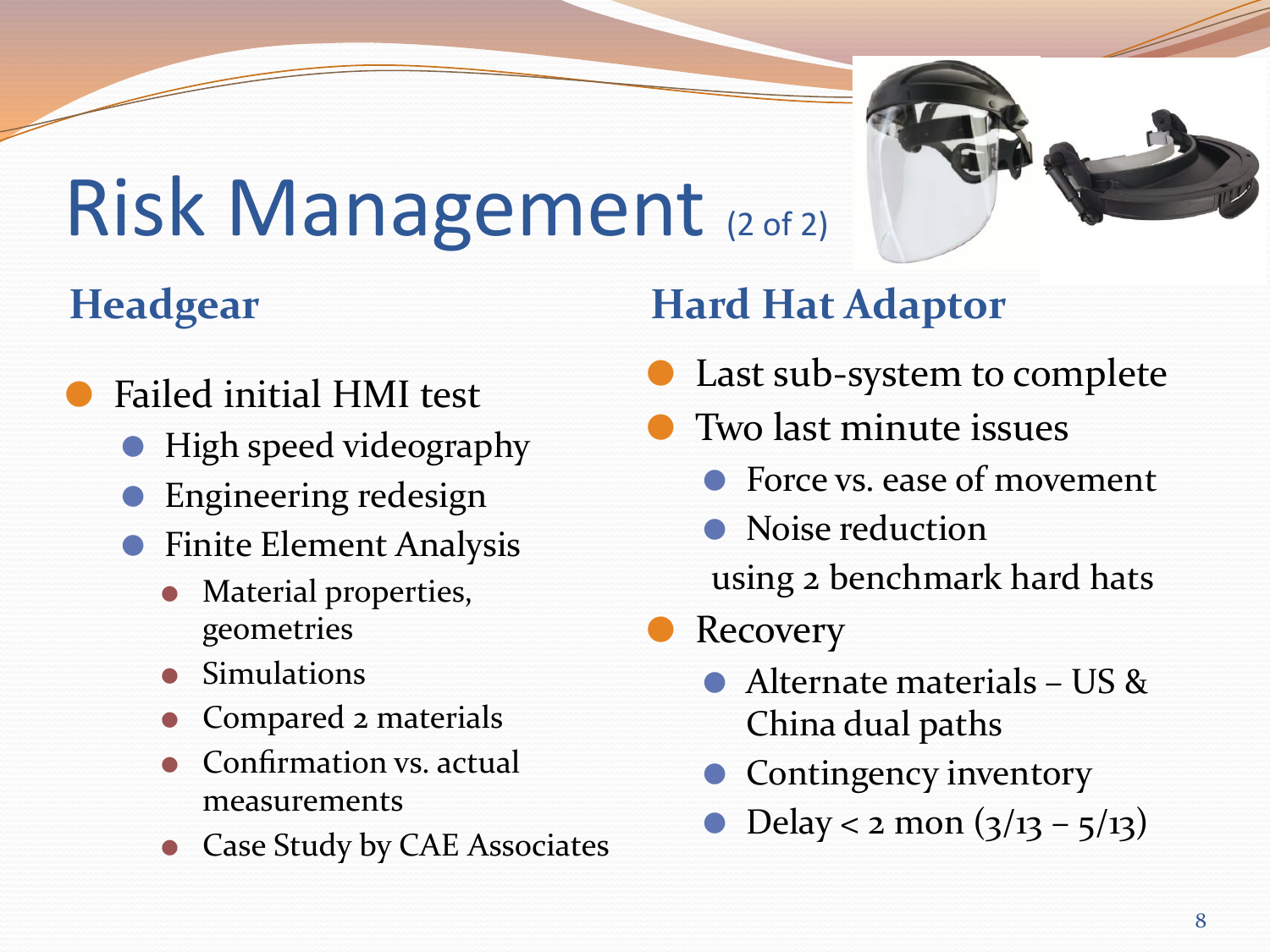# Risk Management (2 of 2)

- ⚫ Failed initial HMI test
	- ⚫ High speed videography
	- ⚫ Engineering redesign
	- Finite Element Analysis
		- ⚫ Material properties, geometries
		- **Simulations**
		- ⚫ Compared 2 materials
		- ⚫ Confirmation vs. actual measurements
		- ⚫ Case Study by CAE Associates

### **Headgear Hard Hat Adaptor**

- Last sub-system to complete
- ⚫ Two last minute issues
	- Force vs. ease of movement
	- Noise reduction using 2 benchmark hard hats

**Recovery** 

- ⚫ Alternate materials US & China dual paths
- ⚫ Contingency inventory
- Delay < 2 mon  $(3/13 5/13)$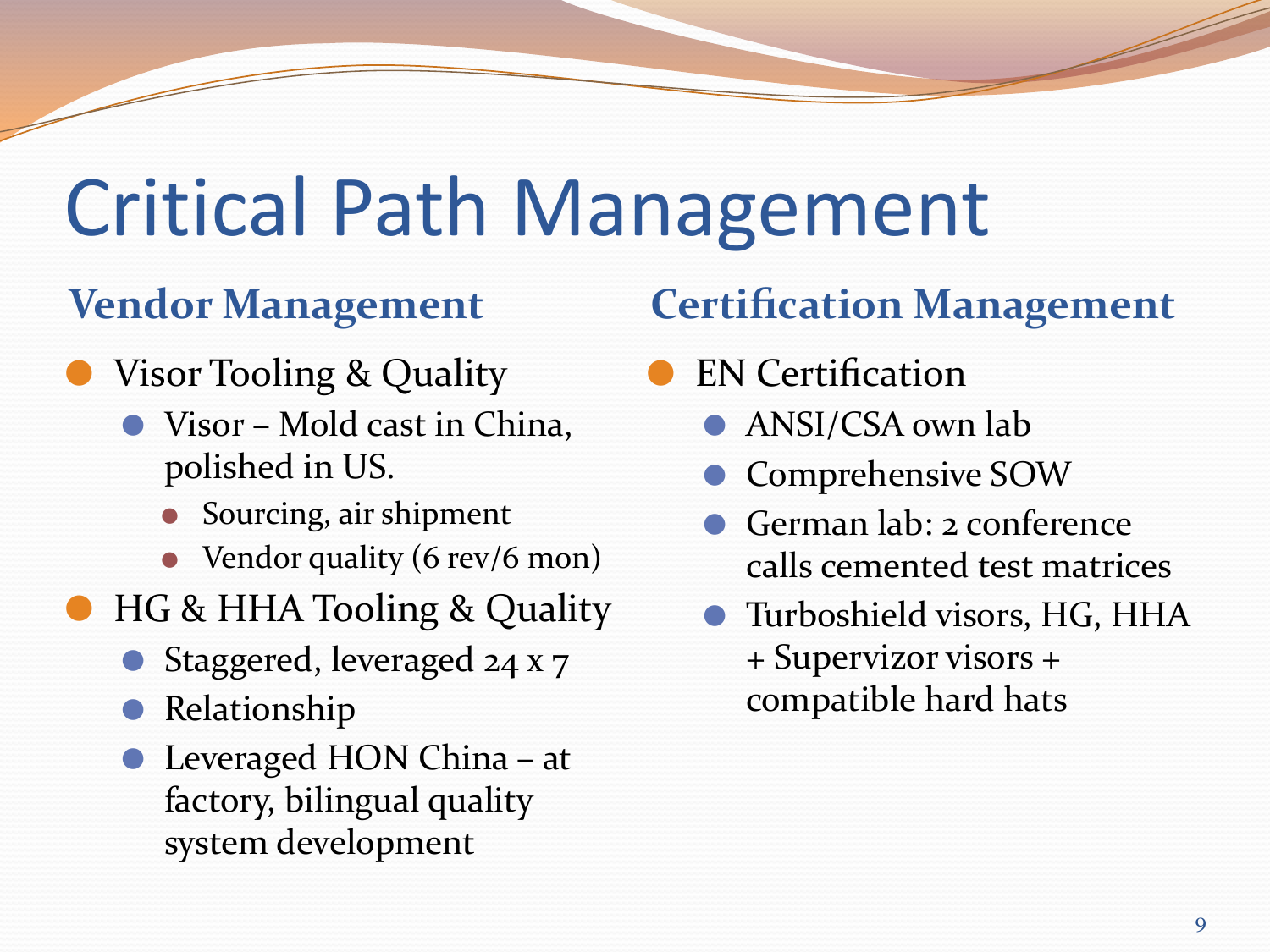### Critical Path Management

- Visor Tooling & Quality
	- ⚫ Visor Mold cast in China, polished in US.
		- ⚫ Sourcing, air shipment
		- Vendor quality (6 rev/6 mon)
- ⚫ HG & HHA Tooling & Quality
	- Staggered, leveraged 24 x 7
	- ⚫ Relationship
	- Leveraged HON China at factory, bilingual quality system development

### **Vendor Management Certification Management**

- ⚫ EN Certification
	- ⚫ ANSI/CSA own lab
	- ⚫ Comprehensive SOW
	- ⚫ German lab: 2 conference calls cemented test matrices
	- ⚫ Turboshield visors, HG, HHA + Supervizor visors + compatible hard hats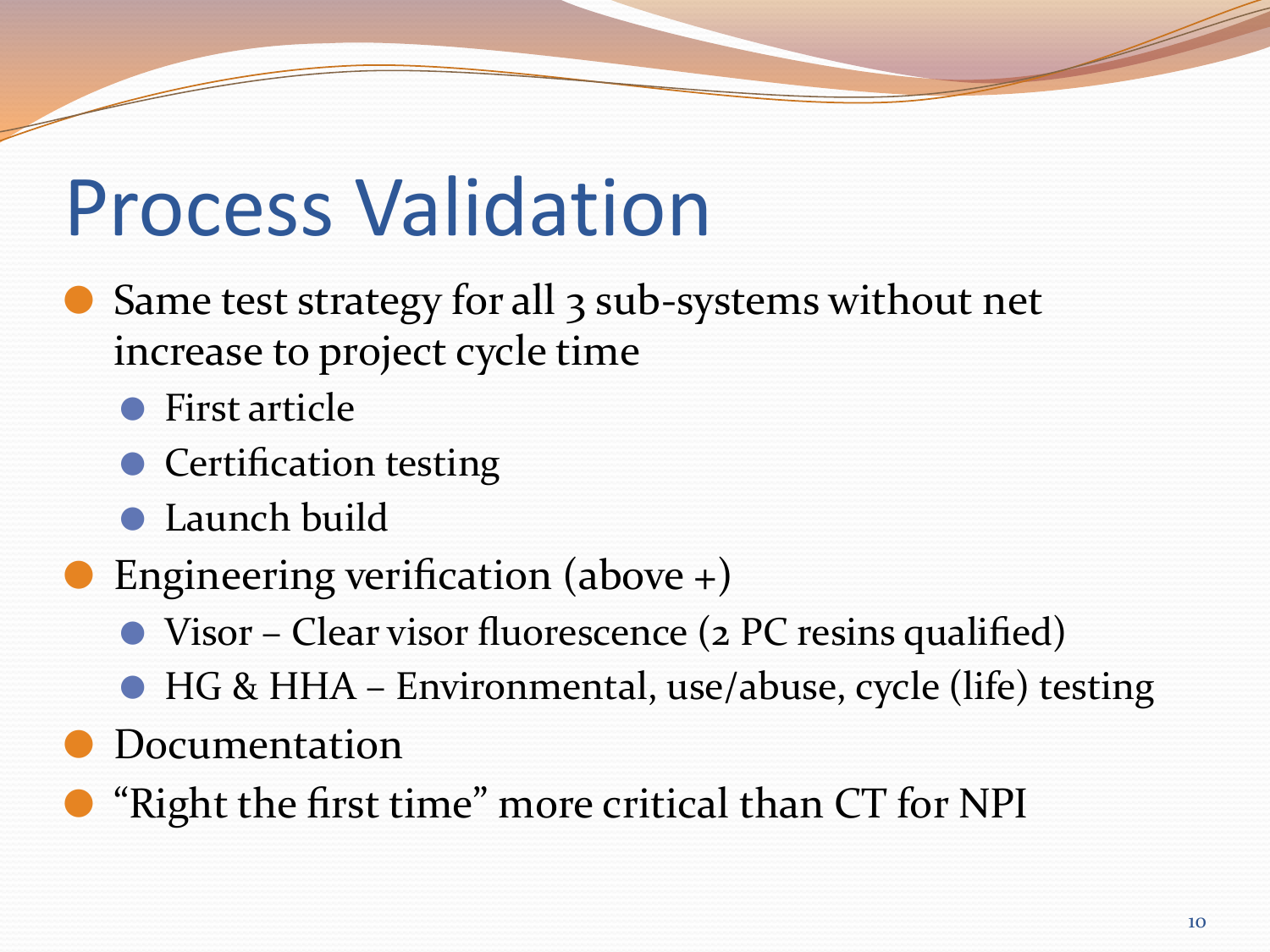## Process Validation

- Same test strategy for all 3 sub-systems without net increase to project cycle time
	- First article
	- Certification testing
	- ⚫ Launch build
- Engineering verification (above  $+)$ 
	- Visor Clear visor fluorescence (2 PC resins qualified)
	- HG & HHA Environmental, use/abuse, cycle (life) testing
- ⚫ Documentation
- ⚫ "Right the first time" more critical than CT for NPI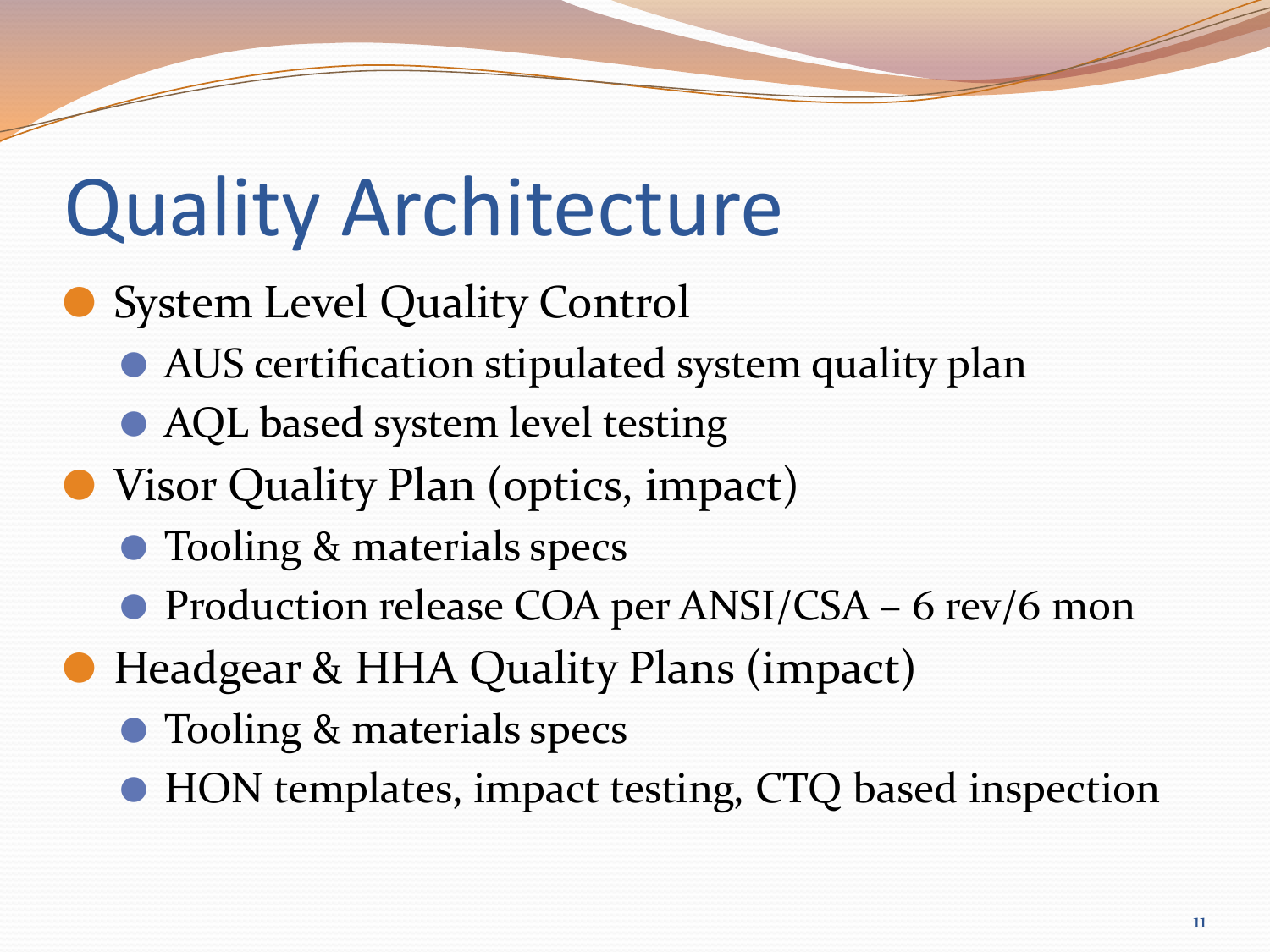## Quality Architecture

### ● System Level Quality Control

- ⚫ AUS certification stipulated system quality plan
- AQL based system level testing
- Visor Quality Plan (optics, impact)
	- Tooling & materials specs
	- Production release COA per ANSI/CSA 6 rev/6 mon
- Headgear & HHA Quality Plans (impact)
	- Tooling & materials specs
	- HON templates, impact testing, CTQ based inspection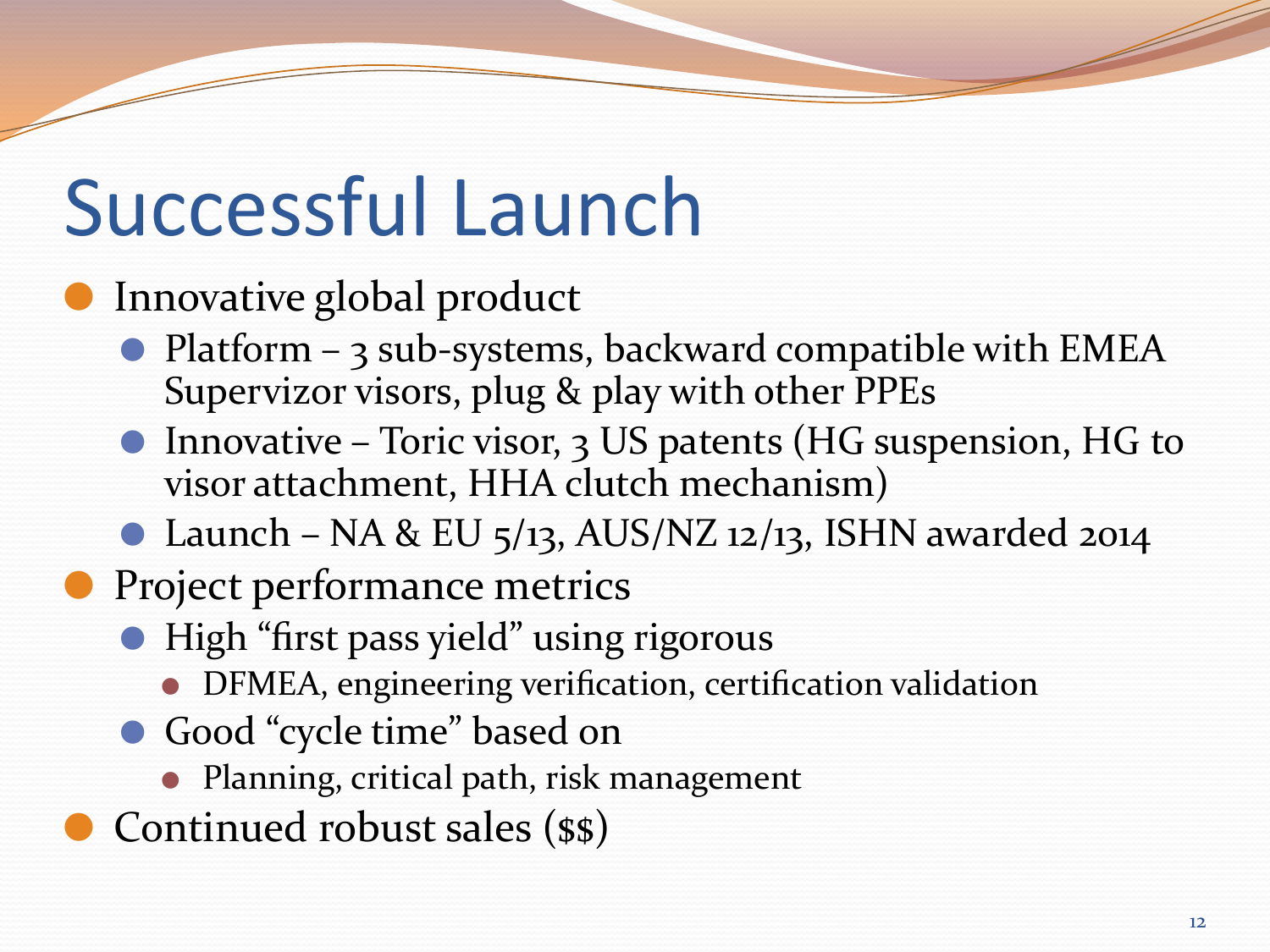## Successful Launch

### Innovative global product

- Platform 3 sub-systems, backward compatible with EMEA Supervizor visors, plug & play with other PPEs
- Innovative Toric visor, 3 US patents (HG suspension, HG to visor attachment, HHA clutch mechanism)
- $\bullet$  Launch NA & EU 5/13, AUS/NZ 12/13, ISHN awarded 2014
- Project performance metrics
	- ⚫ High "first pass yield" using rigorous
		- ⚫ DFMEA, engineering verification, certification validation
	- Good "cycle time" based on
		- ⚫ Planning, critical path, risk management
- Continued robust sales (\$\$)